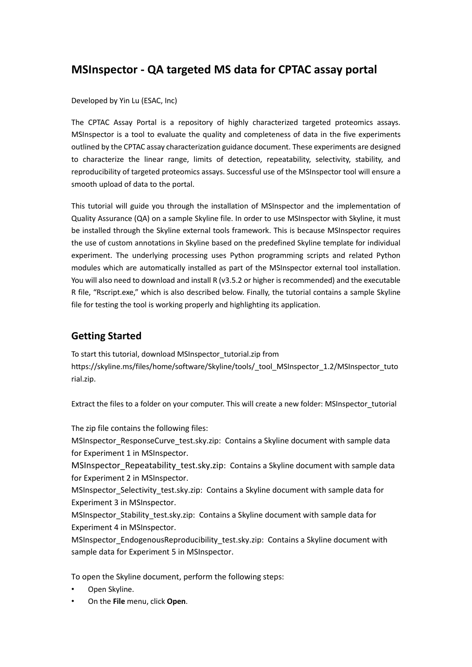# **MSInspector - QA targeted MS data for CPTAC assay portal**

#### Developed by Yin Lu (ESAC, Inc)

The CPTAC Assay Portal is a repository of highly characterized targeted proteomics assays. MSInspector is a tool to evaluate the quality and completeness of data in the five experiments outlined by the CPTAC assay characterization guidance document. These experiments are designed to characterize the linear range, limits of detection, repeatability, selectivity, stability, and reproducibility of targeted proteomics assays. Successful use of the MSInspector tool will ensure a smooth upload of data to the portal.

This tutorial will guide you through the installation of MSInspector and the implementation of Quality Assurance (QA) on a sample Skyline file. In order to use MSInspector with Skyline, it must be installed through the Skyline external tools framework. This is because MSInspector requires the use of custom annotations in Skyline based on the predefined Skyline template for individual experiment. The underlying processing uses Python programming scripts and related Python modules which are automatically installed as part of the MSInspector external tool installation. You will also need to download and install R (v3.5.2 or higher is recommended) and the executable R file, "Rscript.exe," which is also described below. Finally, the tutorial contains a sample Skyline file for testing the tool is working properly and highlighting its application.

#### **Getting Started**

To start this tutorial, download MSInspector\_tutorial.zip from https://skyline.ms/files/home/software/Skyline/tools/\_tool\_MSInspector\_1.2/MSInspector\_tuto rial.zip.

Extract the files to a folder on your computer. This will create a new folder: MSInspector\_tutorial

The zip file contains the following files:

MSInspector\_ResponseCurve\_test.sky.zip: Contains a Skyline document with sample data for Experiment 1 in MSInspector.

MSInspector\_Repeatability\_test.sky.zip: Contains a Skyline document with sample data for Experiment 2 in MSInspector.

MSInspector Selectivity test.sky.zip: Contains a Skyline document with sample data for Experiment 3 in MSInspector.

MSInspector Stability test.sky.zip: Contains a Skyline document with sample data for Experiment 4 in MSInspector.

MSInspector\_EndogenousReproducibility\_test.sky.zip: Contains a Skyline document with sample data for Experiment 5 in MSInspector.

To open the Skyline document, perform the following steps:

- Open Skyline.
- On the **File** menu, click **Open**.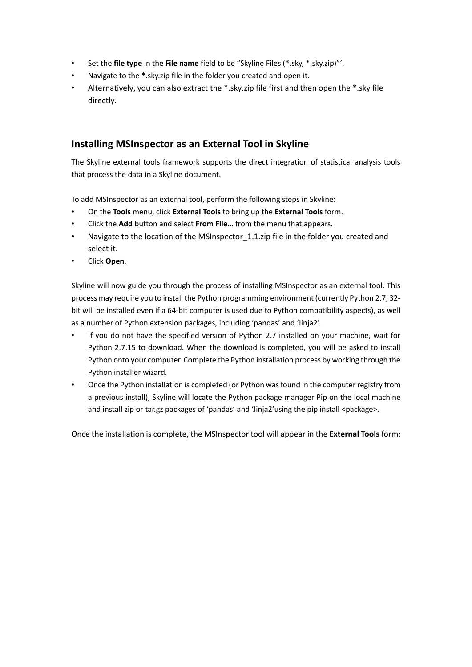- Set the **file type** in the **File name** field to be "Skyline Files (\*.sky, \*.sky.zip)"'.
- Navigate to the \*.sky.zip file in the folder you created and open it.
- Alternatively, you can also extract the \*.sky.zip file first and then open the \*.sky file directly.

## **Installing MSInspector as an External Tool in Skyline**

The Skyline external tools framework supports the direct integration of statistical analysis tools that process the data in a Skyline document.

To add MSInspector as an external tool, perform the following steps in Skyline:

- On the **Tools** menu, click **External Tools** to bring up the **External Tools** form.
- Click the **Add** button and select **From File…** from the menu that appears.
- Navigate to the location of the MSInspector 1.1.zip file in the folder you created and select it.
- Click **Open**.

Skyline will now guide you through the process of installing MSInspector as an external tool. This process may require you to install the Python programming environment (currently Python 2.7, 32 bit will be installed even if a 64-bit computer is used due to Python compatibility aspects), as well as a number of Python extension packages, including 'pandas' and 'Jinja2'.

- If you do not have the specified version of Python 2.7 installed on your machine, wait for Python 2.7.15 to download. When the download is completed, you will be asked to install Python onto your computer. Complete the Python installation process by working through the Python installer wizard.
- Once the Python installation is completed (or Python was found in the computer registry from a previous install), Skyline will locate the Python package manager Pip on the local machine and install zip or tar.gz packages of 'pandas' and 'Jinja2'using the pip install <package>.

Once the installation is complete, the MSInspector tool will appear in the **External Tools** form: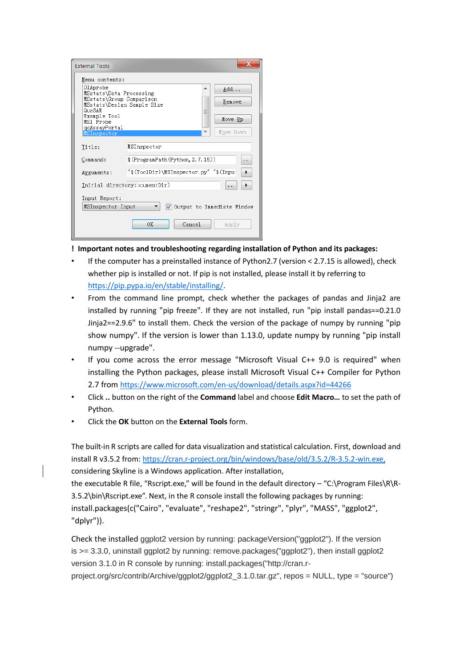| <b>External Tools</b>                |                                                 |
|--------------------------------------|-------------------------------------------------|
| Menu contents:                       |                                                 |
| DIAprobe<br>MSstats\Data Processing  | Add                                             |
| MSstats\Group Comparison             | Remove                                          |
| MSstats\Design Sample Size<br>QuaSAR |                                                 |
| Example Tool<br>MS1 Probe            | Move Up                                         |
| qcAssayPortal                        | Nove Down                                       |
| MSInspector                          |                                                 |
| Title:                               | MSInspector                                     |
| Command:                             | $(\text{ProgramPath}(\text{Python}, 2, 7, 15))$ |
| Arguments:                           | "\$(ToolDir)\MSInspector.pv" "\$(Inpu           |
|                                      | Initial directory: >cumentDir)                  |
| Input Report:                        |                                                 |
| MSInspector Input                    | √ Output to Immediate Window                    |
|                                      | Cancel<br>OΚ<br>Apply                           |

**! Important notes and troubleshooting regarding installation of Python and its packages:**

- If the computer has a preinstalled instance of Python2.7 (version < 2.7.15 is allowed), check whether pip is installed or not. If pip is not installed, please install it by referring to [https://pip.pypa.io/en/stable/installing/.](https://pip.pypa.io/en/stable/installing/)
- From the command line prompt, check whether the packages of pandas and Jinja2 are installed by running "pip freeze". If they are not installed, run "pip install pandas==0.21.0 Jinja2==2.9.6" to install them. Check the version of the package of numpy by running "pip show numpy". If the version is lower than 1.13.0, update numpy by running "pip install numpy --upgrade".
- If you come across the error message "Microsoft Visual C++ 9.0 is required" when installing the Python packages, please install Microsoft Visual C++ Compiler for Python 2.7 from <https://www.microsoft.com/en-us/download/details.aspx?id=44266>
- Click **..** button on the right of the **Command** label and choose **Edit Macro…** to set the path of Python.
- Click the **OK** button on the **External Tools** form.

The built-in R scripts are called for data visualization and statistical calculation. First, download and install R v3.5.2 from: [https://cran.r-project.org/bin/windows/base/old/3.5.2/R-3.5.2-win.exe,](https://cran.r-project.org/bin/windows/base/old/3.5.2/R-3.5.2-win.exe) considering Skyline is a Windows application. After installation,

the executable R file, "Rscript.exe," will be found in the default directory – "C:\Program Files\R\R-3.5.2\bin\Rscript.exe". Next, in the R console install the following packages by running: install.packages(c("Cairo", "evaluate", "reshape2", "stringr", "plyr", "MASS", "ggplot2", "dplyr")).

Check the installed ggplot2 version by running: packageVersion("ggplot2"). If the version is  $>= 3.3.0$ , uninstall ggplot2 by running: remove.packages("ggplot2"), then install ggplot2 version 3.1.0 in R console by running: install.packages("http://cran.rproject.org/src/contrib/Archive/ggplot2/ggplot2\_3.1.0.tar.gz", repos = NULL, type = "source")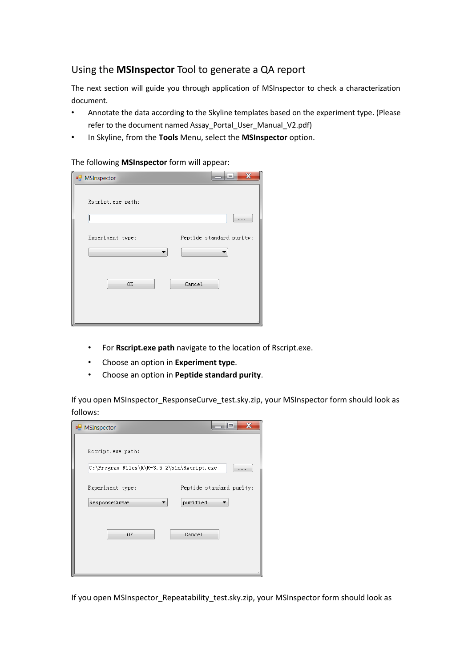## Using the **MSInspector** Tool to generate a QA report

The next section will guide you through application of MSInspector to check a characterization document.

- Annotate the data according to the Skyline templates based on the experiment type. (Please refer to the document named Assay\_Portal\_User\_Manual\_V2.pdf)
- In Skyline, from the **Tools** Menu, select the **MSInspector** option.

The following **MSInspector** form will appear:

| <b>D</b> MSInspector | X<br>HE.                 |
|----------------------|--------------------------|
| Rscript.exe path:    |                          |
|                      | .                        |
| Experiment type:     | Peptide standard purity: |
| OK                   | Cancel                   |
|                      |                          |

- For **Rscript.exe path** navigate to the location of Rscript.exe.
- Choose an option in **Experiment type**.
- Choose an option in **Peptide standard purity**.

If you open MSInspector\_ResponseCurve\_test.sky.zip, your MSInspector form should look as follows:

| MSInspector                                | X                        |
|--------------------------------------------|--------------------------|
| Rscript.exe path:                          |                          |
| C:\Program Files\R\R-3.5.2\bin\Rscript.exe | .                        |
| Experiment type:                           | Peptide standard purity: |
| ResponseCurve                              | purified                 |
| OK                                         | Cancel                   |

If you open MSInspector\_Repeatability\_test.sky.zip, your MSInspector form should look as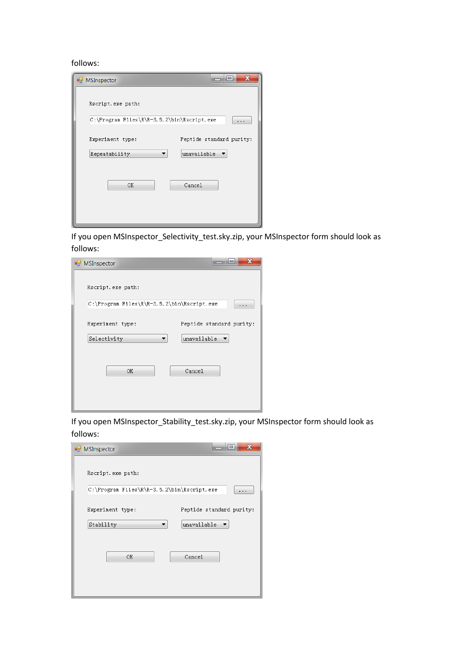#### follows:

| MSInspector                                | X<br>l =                 |
|--------------------------------------------|--------------------------|
| Rscript.exe path:                          |                          |
| C:\Program Files\R\R-3.5.2\bin\Rscript.exe |                          |
| Experiment type:                           | Peptide standard purity: |
| Repeatability                              | unavailable              |
| OK                                         | Cancel                   |

If you open MSInspector\_Selectivity\_test.sky.zip, your MSInspector form should look as follows:

| MSInspector                                | $\mathbf x$              |
|--------------------------------------------|--------------------------|
| Rscript.exe path:                          |                          |
| C:\Program Files\R\R-3.5.2\bin\Rscript.exe | .                        |
| Experiment type:                           | Peptide standard purity: |
| Selectivity<br>▼                           | unavailable              |
| OK                                         | Cancel                   |

If you open MSInspector\_Stability\_test.sky.zip, your MSInspector form should look as follows:

| <b>D</b> MSInspector                       | х                                       |
|--------------------------------------------|-----------------------------------------|
| Rscript.exe path:                          |                                         |
| C:\Program Files\R\R-3.5.2\bin\Rscript.exe | .                                       |
| Experiment type:<br>Stability              | Peptide standard purity:<br>unavailable |
|                                            |                                         |
| OK                                         | Cancel                                  |
|                                            |                                         |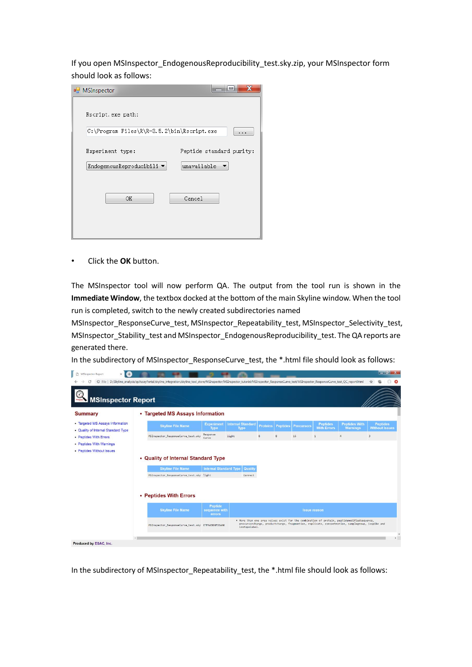If you open MSInspector\_EndogenousReproducibility\_test.sky.zip, your MSInspector form should look as follows:

| MSInspector                                |                          |
|--------------------------------------------|--------------------------|
| Rscript.exe path:                          |                          |
| C:\Program Files\R\R-3.5.2\bin\Rscript.exe | $\sim$                   |
| Experiment type:                           | Peptide standard purity: |
| EndogenousReproducibili ▼                  | unavailable              |
| OK                                         | Cancel                   |

• Click the **OK** button.

The MSInspector tool will now perform QA. The output from the tool run is shown in the **Immediate Window**, the textbox docked at the bottom of the main Skyline window. When the tool run is completed, switch to the newly created subdirectories named

MSInspector\_ResponseCurve\_test, MSInspector\_Repeatability\_test, MSInspector\_Selectivity\_test, MSInspector\_Stability\_test and MSInspector\_EndogenousReproducibility\_test. The QA reports are generated there.

In the subdirectory of MSInspector\_ResponseCurve\_test, the \*.html file should look as follows:

| <b>MSInspector Report</b>                                               |                                     |                                          |                                           |                                         |   |                          |                   |                                       |                                         |                                          |
|-------------------------------------------------------------------------|-------------------------------------|------------------------------------------|-------------------------------------------|-----------------------------------------|---|--------------------------|-------------------|---------------------------------------|-----------------------------------------|------------------------------------------|
| <b>Summary</b>                                                          | • Targeted MS Assays Information    |                                          |                                           |                                         |   |                          |                   |                                       |                                         |                                          |
| • Targeted MS Assays Information<br>• Quality of Internal Standard Type |                                     | <b>Skyline File Name</b>                 | <b>Experiment</b><br><b>Type</b>          | <b>Internal Standard</b><br><b>Type</b> |   | <b>Proteins</b> Peptides | <b>Precursors</b> | <b>Peptides</b><br><b>With Errors</b> | <b>Peptides With</b><br><b>Warnings</b> | <b>Peptides</b><br><b>Without Issues</b> |
|                                                                         |                                     | MSInspector ResponseCurve test.sky       | Response                                  | light                                   | 8 | 8                        | 16                | $\overline{1}$                        | $\ddot{a}$                              | $\overline{3}$                           |
| • Peptides With Errors                                                  |                                     |                                          | Curve                                     |                                         |   |                          |                   |                                       |                                         |                                          |
|                                                                         | • Quality of Internal Standard Type |                                          |                                           |                                         |   |                          |                   |                                       |                                         |                                          |
|                                                                         |                                     | <b>Skyline File Name</b>                 | <b>Internal Standard Type</b>             | <b>Quality</b>                          |   |                          |                   |                                       |                                         |                                          |
|                                                                         |                                     | MSInspector ResponseCurve test.sky light |                                           | Correct                                 |   |                          |                   |                                       |                                         |                                          |
|                                                                         | • Peptides With Errors              |                                          |                                           |                                         |   |                          |                   |                                       |                                         |                                          |
| • Peptides With Warnings<br>• Peptides Without Issues                   |                                     | <b>Skyline File Name</b>                 | <b>Peptide</b><br>sequence with<br>errors |                                         |   |                          |                   | <b>Issue reason</b>                   |                                         |                                          |

In the subdirectory of MSInspector\_Repeatability\_test, the \*.html file should look as follows: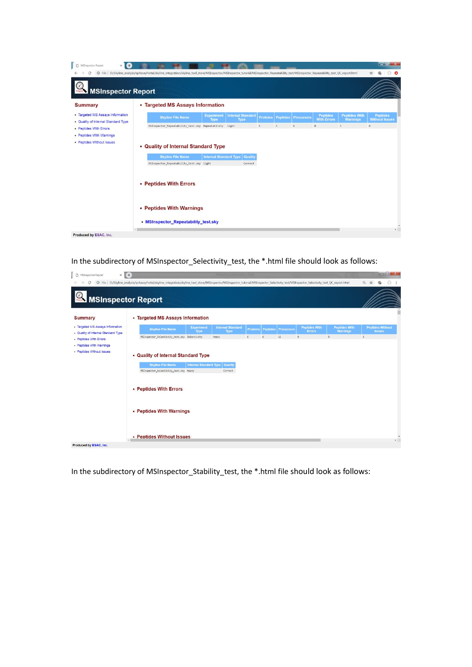| D<br>Œ<br>MSInspector Report<br>$\times$                                |                                                                                                                                                                                                                                |                           |                                                    |                          |                   |                                       |                                         | $-$ of $x$                               |
|-------------------------------------------------------------------------|--------------------------------------------------------------------------------------------------------------------------------------------------------------------------------------------------------------------------------|---------------------------|----------------------------------------------------|--------------------------|-------------------|---------------------------------------|-----------------------------------------|------------------------------------------|
| <b>MSInspector Report</b>                                               | C File   D:/Skyline analysis/qcAssayPortal/skyline integration/skyline tool store/MSInspector/MSInspector tutorial/MSInspector Repeatability test/MSInspector Repeatability test/MSInspector Repeatability test QC report.html |                           |                                                    |                          |                   |                                       |                                         | ο<br>Ý.                                  |
| <b>Summary</b>                                                          | • Targeted MS Assays Information                                                                                                                                                                                               |                           |                                                    |                          |                   |                                       |                                         |                                          |
| • Targeted MS Assays Information<br>. Quality of Internal Standard Type | <b>Skyline File Name</b>                                                                                                                                                                                                       | <b>Experiment</b><br>Type | <b>Internal Standard</b><br>Type                   | <b>Proteins Peptides</b> | <b>Precursors</b> | <b>Peptides</b><br><b>With Errors</b> | <b>Peptides With</b><br><b>Warnings</b> | <b>Peptides</b><br><b>Without Issues</b> |
| • Peptides With Errors<br>• Peptides With Warnings                      | MSInspector_Repeatability_test.sky Repeatability light                                                                                                                                                                         |                           |                                                    |                          |                   | $\mathbf{a}$                          |                                         | $\alpha$                                 |
| • Peptides Without Issues                                               | • Quality of Internal Standard Type                                                                                                                                                                                            |                           |                                                    |                          |                   |                                       |                                         |                                          |
|                                                                         | <b>Skyline File Name</b><br>MSInspector_Repeatability_test.sky light                                                                                                                                                           |                           | <b>Internal Standard Type   Quality</b><br>Correct |                          |                   |                                       |                                         |                                          |
|                                                                         | • Peptides With Errors                                                                                                                                                                                                         |                           |                                                    |                          |                   |                                       |                                         |                                          |
|                                                                         | • Peptides With Warnings                                                                                                                                                                                                       |                           |                                                    |                          |                   |                                       |                                         |                                          |
|                                                                         | • MSInspector Repeatability test.sky                                                                                                                                                                                           |                           |                                                    |                          |                   |                                       |                                         | $\overline{a}$                           |
| Produced by ESAC, Inc.                                                  |                                                                                                                                                                                                                                |                           |                                                    |                          |                   |                                       |                                         |                                          |

In the subdirectory of MSInspector\_Selectivity\_test, the \*.html file should look as follows:

| D<br>$\times$<br>MSInspector Report                                     | $+$                                                                                                                                                                                                                            |                               |                                  |                 |                |                            |                                       |                                         |                    | $-0$ X                                   |
|-------------------------------------------------------------------------|--------------------------------------------------------------------------------------------------------------------------------------------------------------------------------------------------------------------------------|-------------------------------|----------------------------------|-----------------|----------------|----------------------------|---------------------------------------|-----------------------------------------|--------------------|------------------------------------------|
| $\odot$                                                                 | File   D:/Skyline analysis/qcAssayPortal/skyline integration/skyline tool store/MSInspector/MSInspector tutorial/MSInspector Selectivity test/MSInspector Selectivity test/MSInspector Selectivity test/MSInspector Selectivit |                               |                                  |                 |                |                            |                                       |                                         | Q<br>$\frac{1}{2}$ | ⊕                                        |
| MSInspector Report                                                      |                                                                                                                                                                                                                                |                               |                                  |                 |                |                            |                                       |                                         |                    |                                          |
| <b>Summary</b>                                                          | • Targeted MS Assays Information                                                                                                                                                                                               |                               |                                  |                 |                |                            |                                       |                                         |                    |                                          |
| · Targeted MS Assays Information<br>. Quality of Internal Standard Type | <b>Skyline File Name</b>                                                                                                                                                                                                       | <b>Experiment</b><br>Type     | <b>Internal Standard</b><br>Type | <b>Proteins</b> |                | <b>Peptides Precursors</b> | <b>Peptides With</b><br><b>Errors</b> | <b>Peptides With</b><br><b>Warnings</b> |                    | <b>Peptides Without</b><br><b>Issues</b> |
| - Peptides With Errors<br>- Peptides With Warnings                      | MSInspector_Selectivity_test.sky Selectivity                                                                                                                                                                                   |                               | heavy                            | 6               | 6 <sup>°</sup> | 12                         | $\theta$                              | $\theta$                                | 6                  |                                          |
| - Peptides Without Issues                                               | • Quality of Internal Standard Type                                                                                                                                                                                            |                               |                                  |                 |                |                            |                                       |                                         |                    |                                          |
|                                                                         | <b>Skyline File Name</b>                                                                                                                                                                                                       | <b>Internal Standard Type</b> | Quality                          |                 |                |                            |                                       |                                         |                    |                                          |
|                                                                         | MSInspector_Selectivity_test.sky heavy                                                                                                                                                                                         |                               | Correct                          |                 |                |                            |                                       |                                         |                    |                                          |
|                                                                         | • Peptides With Errors                                                                                                                                                                                                         |                               |                                  |                 |                |                            |                                       |                                         |                    |                                          |
|                                                                         | • Peptides With Warnings                                                                                                                                                                                                       |                               |                                  |                 |                |                            |                                       |                                         |                    |                                          |
| Produced by ESAC, Inc.                                                  | • Peptides Without Issues                                                                                                                                                                                                      |                               |                                  |                 |                |                            |                                       |                                         |                    | $\bullet$                                |

In the subdirectory of MSInspector\_Stability\_test, the \*.html file should look as follows: